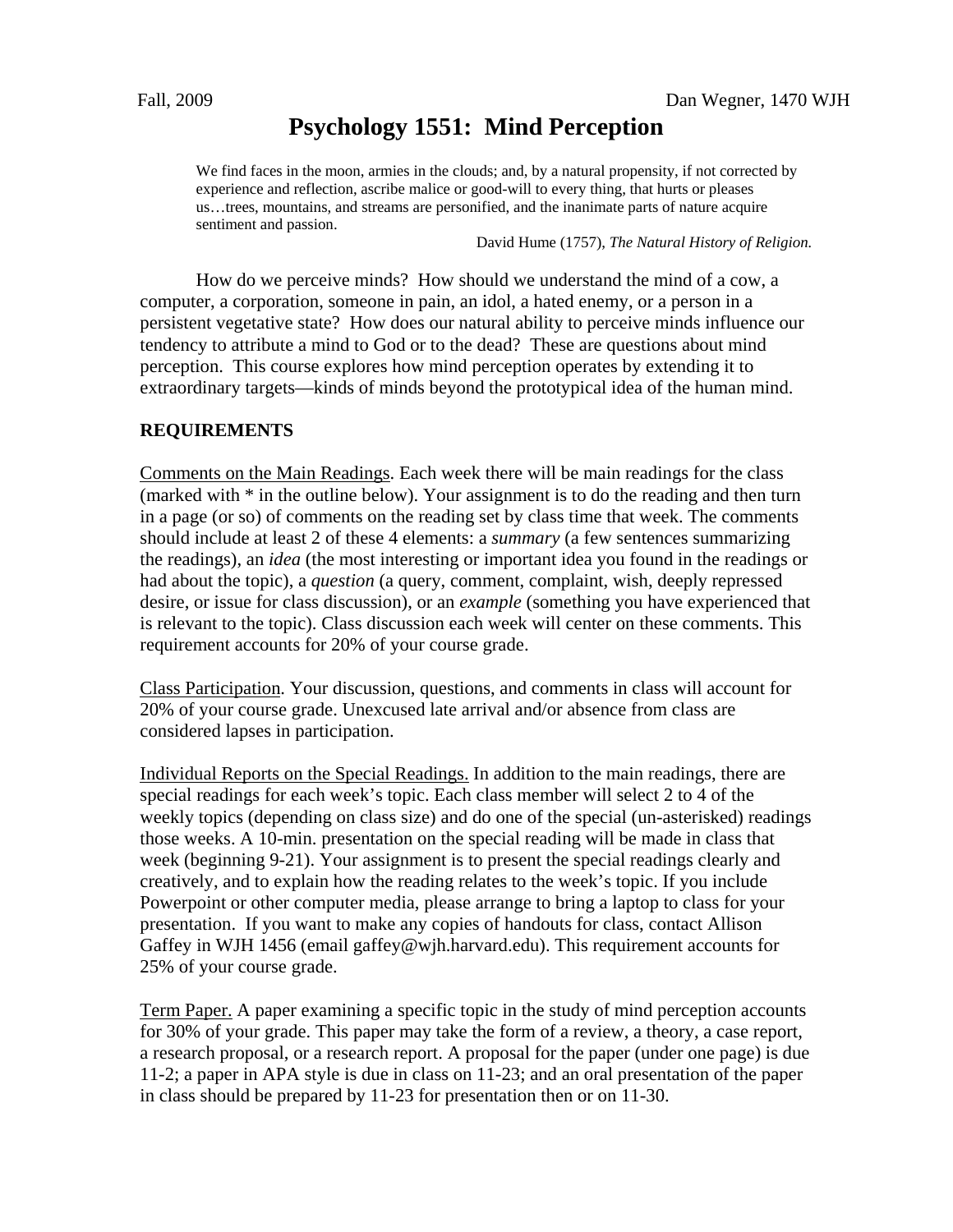# **Psychology 1551: Mind Perception**

We find faces in the moon, armies in the clouds; and, by a natural propensity, if not corrected by experience and reflection, ascribe malice or good-will to every thing, that hurts or pleases us…trees, mountains, and streams are personified, and the inanimate parts of nature acquire sentiment and passion.

David Hume (1757), *The Natural History of Religion.* 

 How do we perceive minds? How should we understand the mind of a cow, a computer, a corporation, someone in pain, an idol, a hated enemy, or a person in a persistent vegetative state? How does our natural ability to perceive minds influence our tendency to attribute a mind to God or to the dead? These are questions about mind perception. This course explores how mind perception operates by extending it to extraordinary targets—kinds of minds beyond the prototypical idea of the human mind.

# **REQUIREMENTS**

Comments on the Main Readings. Each week there will be main readings for the class (marked with \* in the outline below). Your assignment is to do the reading and then turn in a page (or so) of comments on the reading set by class time that week. The comments should include at least 2 of these 4 elements: a *summary* (a few sentences summarizing the readings), an *idea* (the most interesting or important idea you found in the readings or had about the topic), a *question* (a query, comment, complaint, wish, deeply repressed desire, or issue for class discussion), or an *example* (something you have experienced that is relevant to the topic). Class discussion each week will center on these comments. This requirement accounts for 20% of your course grade.

Class Participation. Your discussion, questions, and comments in class will account for 20% of your course grade. Unexcused late arrival and/or absence from class are considered lapses in participation.

Individual Reports on the Special Readings. In addition to the main readings, there are special readings for each week's topic. Each class member will select 2 to 4 of the weekly topics (depending on class size) and do one of the special (un-asterisked) readings those weeks. A 10-min. presentation on the special reading will be made in class that week (beginning 9-21). Your assignment is to present the special readings clearly and creatively, and to explain how the reading relates to the week's topic. If you include Powerpoint or other computer media, please arrange to bring a laptop to class for your presentation. If you want to make any copies of handouts for class, contact Allison Gaffey in WJH 1456 (email gaffey@wjh.harvard.edu). This requirement accounts for 25% of your course grade.

Term Paper. A paper examining a specific topic in the study of mind perception accounts for 30% of your grade. This paper may take the form of a review, a theory, a case report, a research proposal, or a research report. A proposal for the paper (under one page) is due 11-2; a paper in APA style is due in class on 11-23; and an oral presentation of the paper in class should be prepared by 11-23 for presentation then or on 11-30.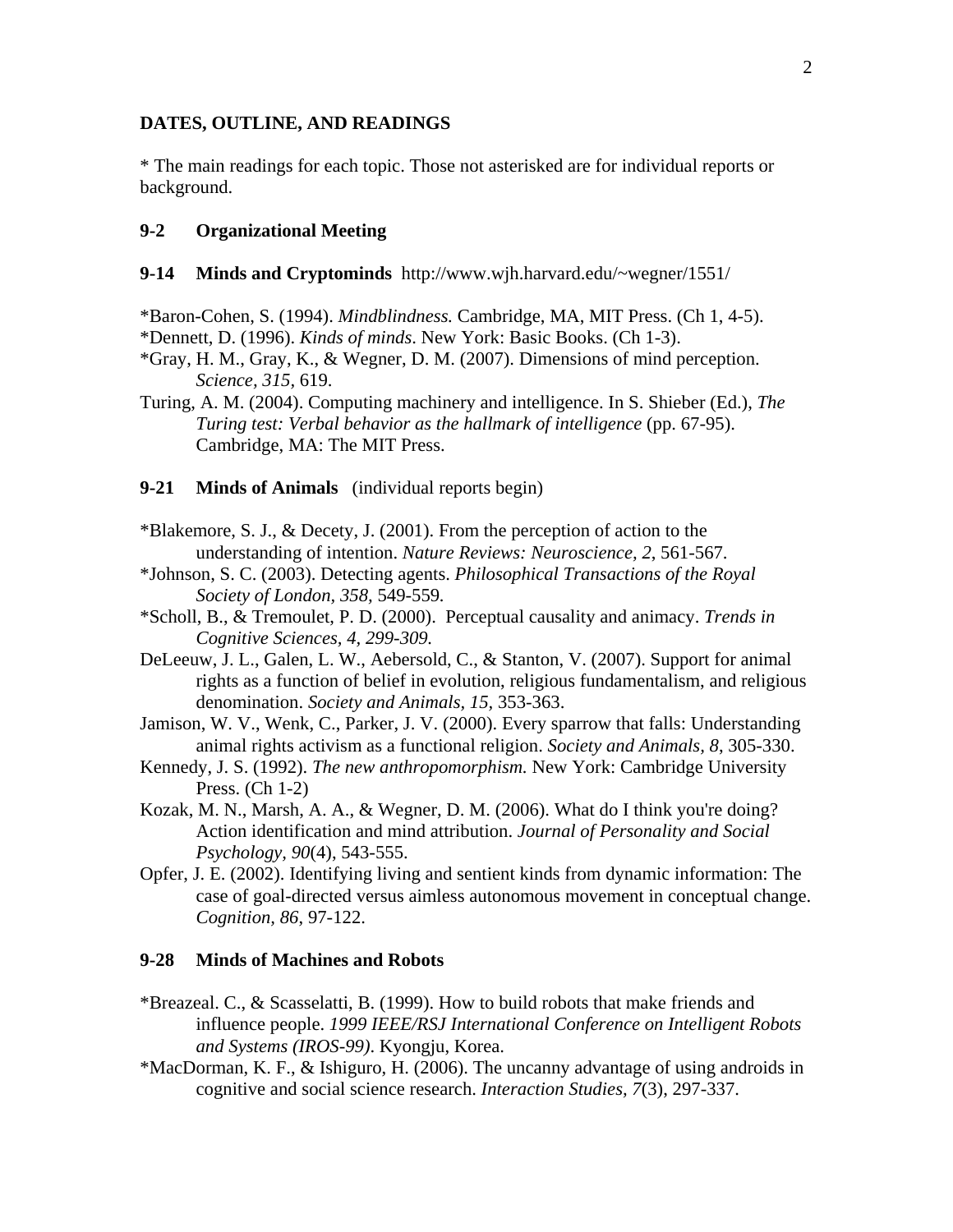## **DATES, OUTLINE, AND READINGS**

\* The main readings for each topic. Those not asterisked are for individual reports or background.

# **9-2 Organizational Meeting**

- **9-14 Minds and Cryptominds** http://www.wjh.harvard.edu/~wegner/1551/
- \*Baron-Cohen, S. (1994). *Mindblindness.* Cambridge, MA, MIT Press. (Ch 1, 4-5).
- \*Dennett, D. (1996). *Kinds of minds*. New York: Basic Books. (Ch 1-3).
- \*Gray, H. M., Gray, K., & Wegner, D. M. (2007). Dimensions of mind perception. *Science, 315,* 619.
- Turing, A. M. (2004). Computing machinery and intelligence. In S. Shieber (Ed.), *The Turing test: Verbal behavior as the hallmark of intelligence* (pp. 67-95). Cambridge, MA: The MIT Press.

#### **9-21 Minds of Animals** (individual reports begin)

- \*Blakemore, S. J., & Decety, J. (2001). From the perception of action to the understanding of intention. *Nature Reviews: Neuroscience, 2*, 561-567.
- \*Johnson, S. C. (2003). Detecting agents. *Philosophical Transactions of the Royal Society of London, 358,* 549-559*.*
- \*Scholl, B., & Tremoulet, P. D. (2000). Perceptual causality and animacy. *Trends in Cognitive Sciences, 4, 299-309.*
- DeLeeuw, J. L., Galen, L. W., Aebersold, C., & Stanton, V. (2007). Support for animal rights as a function of belief in evolution, religious fundamentalism, and religious denomination. *Society and Animals, 15,* 353-363.
- Jamison, W. V., Wenk, C., Parker, J. V. (2000). Every sparrow that falls: Understanding animal rights activism as a functional religion. *Society and Animals, 8*, 305-330.
- Kennedy, J. S. (1992). *The new anthropomorphism.* New York: Cambridge University Press. (Ch 1-2)
- Kozak, M. N., Marsh, A. A., & Wegner, D. M. (2006). What do I think you're doing? Action identification and mind attribution. *Journal of Personality and Social Psychology, 90*(4), 543-555.
- Opfer, J. E. (2002). Identifying living and sentient kinds from dynamic information: The case of goal-directed versus aimless autonomous movement in conceptual change. *Cognition, 86*, 97-122.

# **9-28 Minds of Machines and Robots**

- \*Breazeal. C., & Scasselatti, B. (1999). How to build robots that make friends and influence people. *1999 IEEE/RSJ International Conference on Intelligent Robots and Systems (IROS-99)*. Kyongju, Korea.
- \*MacDorman, K. F., & Ishiguro, H. (2006). The uncanny advantage of using androids in cognitive and social science research. *Interaction Studies, 7*(3), 297-337.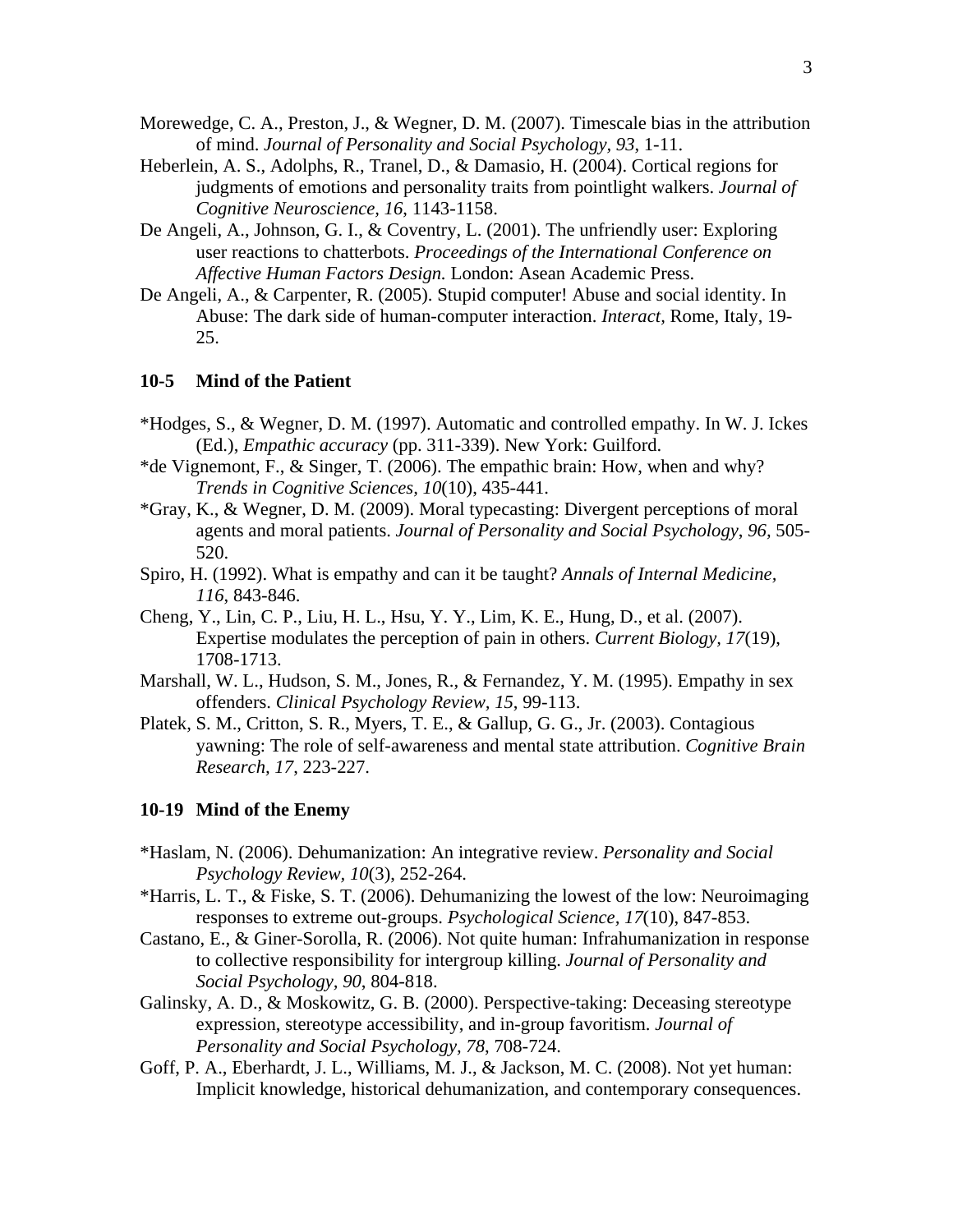- Morewedge, C. A., Preston, J., & Wegner, D. M. (2007). Timescale bias in the attribution of mind. *Journal of Personality and Social Psychology, 93*, 1-11.
- Heberlein, A. S., Adolphs, R., Tranel, D., & Damasio, H. (2004). Cortical regions for judgments of emotions and personality traits from pointlight walkers. *Journal of Cognitive Neuroscience, 16*, 1143-1158.
- De Angeli, A., Johnson, G. I., & Coventry, L. (2001). The unfriendly user: Exploring user reactions to chatterbots. *Proceedings of the International Conference on Affective Human Factors Design.* London: Asean Academic Press.
- De Angeli, A., & Carpenter, R. (2005). Stupid computer! Abuse and social identity. In Abuse: The dark side of human-computer interaction. *Interact,* Rome, Italy, 19- 25.

## **10-5 Mind of the Patient**

- \*Hodges, S., & Wegner, D. M. (1997). Automatic and controlled empathy. In W. J. Ickes (Ed.), *Empathic accuracy* (pp. 311-339). New York: Guilford.
- \*de Vignemont, F., & Singer, T. (2006). The empathic brain: How, when and why? *Trends in Cognitive Sciences, 10*(10), 435-441.
- \*Gray, K., & Wegner, D. M. (2009). Moral typecasting: Divergent perceptions of moral agents and moral patients. *Journal of Personality and Social Psychology*, *96,* 505- 520.
- Spiro, H. (1992). What is empathy and can it be taught? *Annals of Internal Medicine, 116*, 843-846.
- Cheng, Y., Lin, C. P., Liu, H. L., Hsu, Y. Y., Lim, K. E., Hung, D., et al. (2007). Expertise modulates the perception of pain in others. *Current Biology, 17*(19), 1708-1713.
- Marshall, W. L., Hudson, S. M., Jones, R., & Fernandez, Y. M. (1995). Empathy in sex offenders. *Clinical Psychology Review, 15*, 99-113.
- Platek, S. M., Critton, S. R., Myers, T. E., & Gallup, G. G., Jr. (2003). Contagious yawning: The role of self-awareness and mental state attribution. *Cognitive Brain Research, 17*, 223-227.

#### **10-19 Mind of the Enemy**

- \*Haslam, N. (2006). Dehumanization: An integrative review. *Personality and Social Psychology Review, 10*(3), 252-264.
- \*Harris, L. T., & Fiske, S. T. (2006). Dehumanizing the lowest of the low: Neuroimaging responses to extreme out-groups. *Psychological Science, 17*(10), 847-853.
- Castano, E., & Giner-Sorolla, R. (2006). Not quite human: Infrahumanization in response to collective responsibility for intergroup killing. *Journal of Personality and Social Psychology, 90*, 804-818.
- Galinsky, A. D., & Moskowitz, G. B. (2000). Perspective-taking: Deceasing stereotype expression, stereotype accessibility, and in-group favoritism. *Journal of Personality and Social Psychology, 78*, 708-724.
- Goff, P. A., Eberhardt, J. L., Williams, M. J., & Jackson, M. C. (2008). Not yet human: Implicit knowledge, historical dehumanization, and contemporary consequences.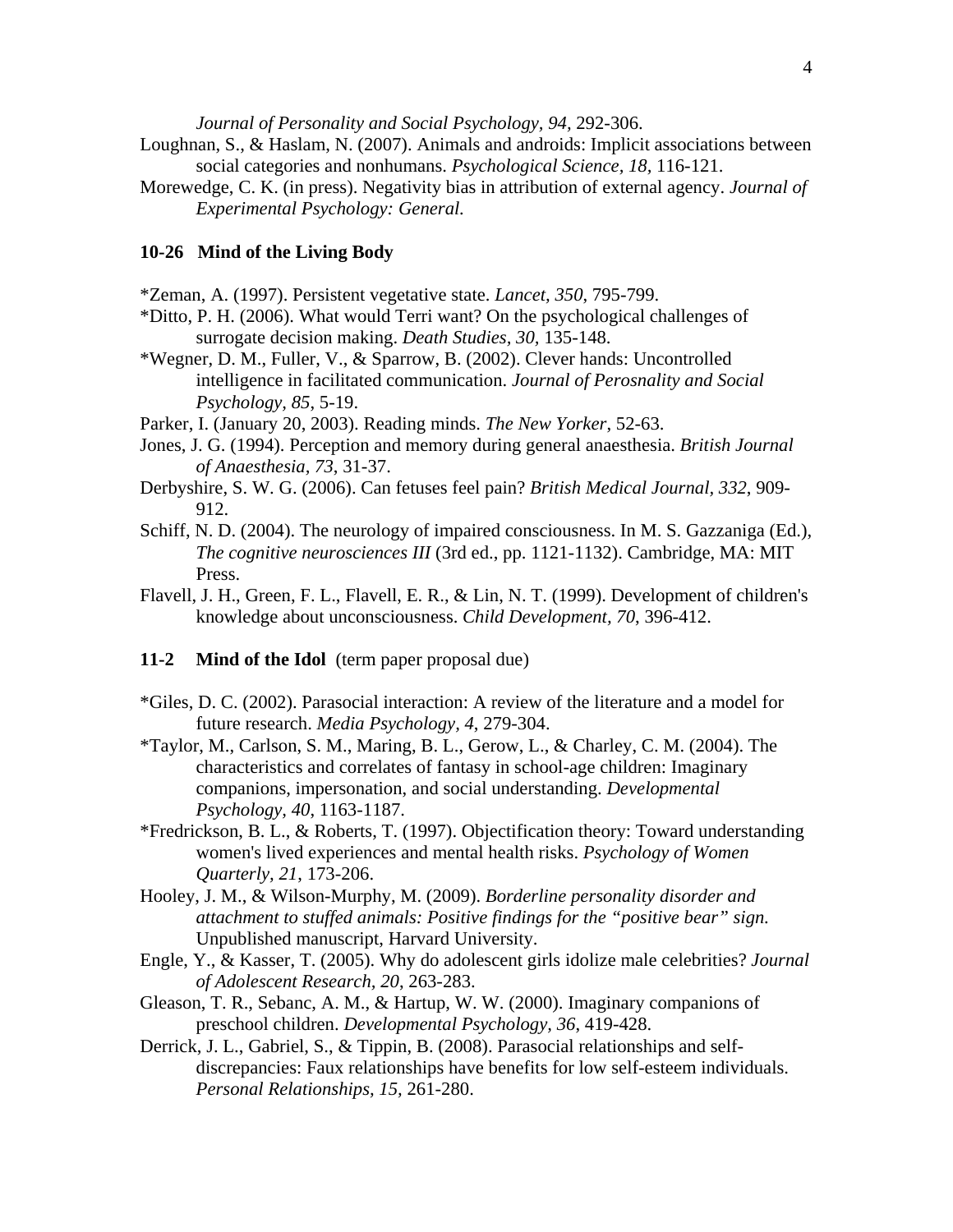*Journal of Personality and Social Psychology, 94,* 292-306.

- Loughnan, S., & Haslam, N. (2007). Animals and androids: Implicit associations between social categories and nonhumans. *Psychological Science, 18,* 116-121.
- Morewedge, C. K. (in press). Negativity bias in attribution of external agency. *Journal of Experimental Psychology: General.*

# **10-26 Mind of the Living Body**

\*Zeman, A. (1997). Persistent vegetative state. *Lancet, 350*, 795-799.

- \*Ditto, P. H. (2006). What would Terri want? On the psychological challenges of surrogate decision making. *Death Studies, 30,* 135-148.
- \*Wegner, D. M., Fuller, V., & Sparrow, B. (2002). Clever hands: Uncontrolled intelligence in facilitated communication. *Journal of Perosnality and Social Psychology, 85*, 5-19.
- Parker, I. (January 20, 2003). Reading minds. *The New Yorker*, 52-63.
- Jones, J. G. (1994). Perception and memory during general anaesthesia. *British Journal of Anaesthesia, 73*, 31-37.
- Derbyshire, S. W. G. (2006). Can fetuses feel pain? *British Medical Journal, 332*, 909- 912.
- Schiff, N. D. (2004). The neurology of impaired consciousness. In M. S. Gazzaniga (Ed.), *The cognitive neurosciences III* (3rd ed., pp. 1121-1132). Cambridge, MA: MIT Press.
- Flavell, J. H., Green, F. L., Flavell, E. R., & Lin, N. T. (1999). Development of children's knowledge about unconsciousness. *Child Development, 70*, 396-412.

## **11-2 Mind of the Idol** (term paper proposal due)

- \*Giles, D. C. (2002). Parasocial interaction: A review of the literature and a model for future research. *Media Psychology, 4*, 279-304.
- \*Taylor, M., Carlson, S. M., Maring, B. L., Gerow, L., & Charley, C. M. (2004). The characteristics and correlates of fantasy in school-age children: Imaginary companions, impersonation, and social understanding. *Developmental Psychology, 40*, 1163-1187.
- \*Fredrickson, B. L., & Roberts, T. (1997). Objectification theory: Toward understanding women's lived experiences and mental health risks. *Psychology of Women Quarterly, 21*, 173-206.
- Hooley, J. M., & Wilson-Murphy, M. (2009). *Borderline personality disorder and attachment to stuffed animals: Positive findings for the "positive bear" sign.* Unpublished manuscript, Harvard University.
- Engle, Y., & Kasser, T. (2005). Why do adolescent girls idolize male celebrities? *Journal of Adolescent Research, 20*, 263-283.
- Gleason, T. R., Sebanc, A. M., & Hartup, W. W. (2000). Imaginary companions of preschool children. *Developmental Psychology, 36*, 419-428.
- Derrick, J. L., Gabriel, S., & Tippin, B. (2008). Parasocial relationships and selfdiscrepancies: Faux relationships have benefits for low self-esteem individuals. *Personal Relationships, 15,* 261-280.